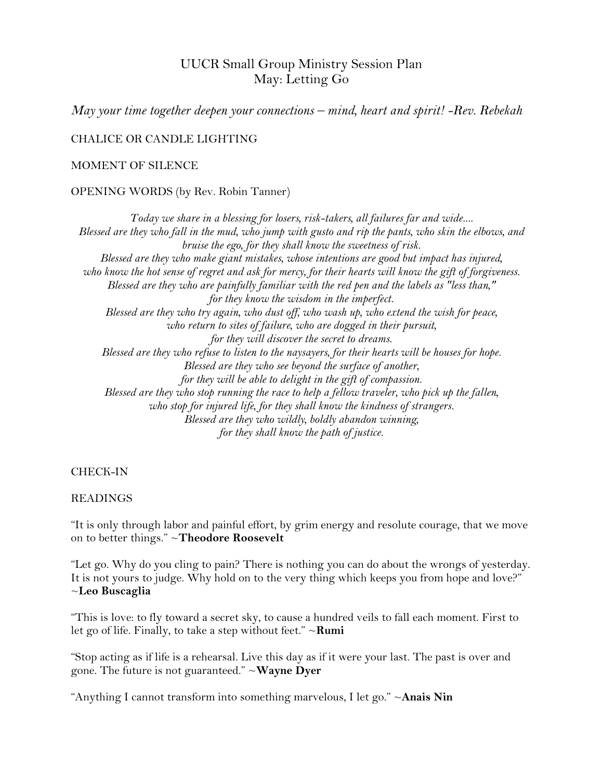# UUCR Small Group Ministry Session Plan May: Letting Go

*May your time together deepen your connections – mind, heart and spirit! -Rev. Rebekah*

CHALICE OR CANDLE LIGHTING

### MOMENT OF SILENCE

### OPENING WORDS (by Rev. Robin Tanner)

*Today we share in a blessing for losers, risk-takers, all failures far and wide.... Blessed are they who fall in the mud, who jump with gusto and rip the pants, who skin the elbows, and bruise the ego, for they shall know the sweetness of risk. Blessed are they who make giant mistakes, whose intentions are good but impact has injured, who know the hot sense of regret and ask for mercy, for their hearts will know the gift of forgiveness. Blessed are they who are painfully familiar with the red pen and the labels as "less than," for they know the wisdom in the imperfect. Blessed are they who try again, who dust off, who wash up, who extend the wish for peace, who return to sites of failure, who are dogged in their pursuit, for they will discover the secret to dreams. Blessed are they who refuse to listen to the naysayers, for their hearts will be houses for hope. Blessed are they who see beyond the surface of another, for they will be able to delight in the gift of compassion. Blessed are they who stop running the race to help a fellow traveler, who pick up the fallen, who stop for injured life, for they shall know the kindness of strangers. Blessed are they who wildly, boldly abandon winning, for they shall know the path of justice.*

#### CHECK-IN

#### READINGS

"It is only through labor and painful effort, by grim energy and resolute courage, that we move on to better things." ~**Theodore Roosevelt**

"Let go. Why do you cling to pain? There is nothing you can do about the wrongs of yesterday. It is not yours to judge. Why hold on to the very thing which keeps you from hope and love?" ~**Leo Buscaglia**

"This is love: to fly toward a secret sky, to cause a hundred veils to fall each moment. First to let go of life. Finally, to take a step without feet." ~**Rumi**

"Stop acting as if life is a rehearsal. Live this day as if it were your last. The past is over and gone. The future is not guaranteed." ~**Wayne Dyer**

"Anything I cannot transform into something marvelous, I let go." ~**Anais Nin**